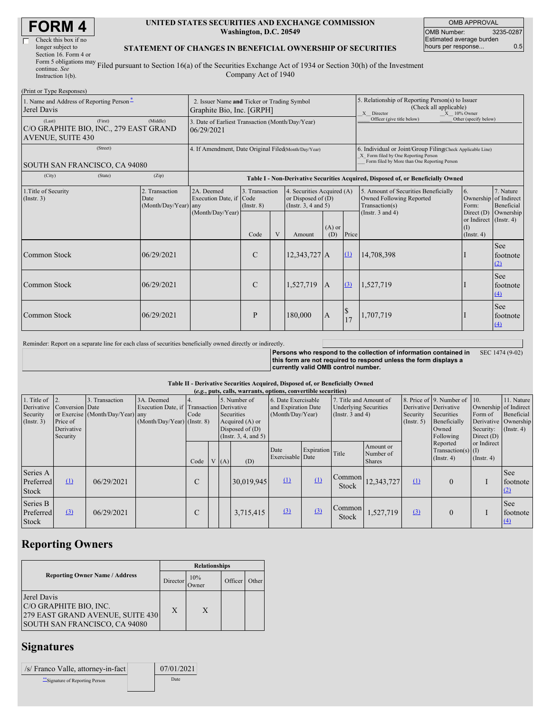| Check this box if no       |
|----------------------------|
| longer subject to          |
| Section 16. Form 4 or      |
| Form 5 obligations may $F$ |
| continue. See              |
|                            |

### **UNITED STATES SECURITIES AND EXCHANGE COMMISSION Washington, D.C. 20549**

OMB APPROVAL OMB Number: 3235-0287 Estimated average burden hours per response... 0.5

#### **STATEMENT OF CHANGES IN BENEFICIAL OWNERSHIP OF SECURITIES**

Instruction 1(b). Filed pursuant to Section 16(a) of the Securities Exchange Act of 1934 or Section 30(h) of the Investment Company Act of 1940

| (Print or Type Responses)                                                               |                                                                          |                                       |                               |   |                                                                              |                 |                                                                                                                                                    |                                                                                    |                                                            |                         |  |  |
|-----------------------------------------------------------------------------------------|--------------------------------------------------------------------------|---------------------------------------|-------------------------------|---|------------------------------------------------------------------------------|-----------------|----------------------------------------------------------------------------------------------------------------------------------------------------|------------------------------------------------------------------------------------|------------------------------------------------------------|-------------------------|--|--|
| 1. Name and Address of Reporting Person-<br>Jerel Davis                                 | 2. Issuer Name and Ticker or Trading Symbol<br>Graphite Bio, Inc. [GRPH] |                                       |                               |   |                                                                              |                 | 5. Relationship of Reporting Person(s) to Issuer<br>(Check all applicable)<br>X Director<br>X 10% Owner                                            |                                                                                    |                                                            |                         |  |  |
| (First)<br>(Last)<br>C/O GRAPHITE BIO, INC., 279 EAST GRAND<br><b>AVENUE, SUITE 430</b> | 3. Date of Earliest Transaction (Month/Day/Year)<br>06/29/2021           |                                       |                               |   |                                                                              |                 | Officer (give title below)                                                                                                                         | Other (specify below)                                                              |                                                            |                         |  |  |
| (Street)<br>SOUTH SAN FRANCISCO, CA 94080                                               | 4. If Amendment, Date Original Filed(Month/Day/Year)                     |                                       |                               |   |                                                                              |                 | 6. Individual or Joint/Group Filing Check Applicable Line)<br>X Form filed by One Reporting Person<br>Form filed by More than One Reporting Person |                                                                                    |                                                            |                         |  |  |
| (City)<br>(State)                                                                       | (Zip)                                                                    |                                       |                               |   |                                                                              |                 |                                                                                                                                                    | Table I - Non-Derivative Securities Acquired, Disposed of, or Beneficially Owned   |                                                            |                         |  |  |
| 1. Title of Security<br>(Insert. 3)                                                     | 2. Transaction<br>Date<br>(Month/Day/Year) any                           | 2A. Deemed<br>Execution Date, if Code | 3. Transaction<br>(Insert. 8) |   | 4. Securities Acquired (A)<br>or Disposed of (D)<br>(Instr. $3, 4$ and $5$ ) |                 |                                                                                                                                                    | 5. Amount of Securities Beneficially<br>Owned Following Reported<br>Transaction(s) | 6.<br>Ownership of Indirect<br>Form:                       | 7. Nature<br>Beneficial |  |  |
|                                                                                         |                                                                          | (Month/Day/Year)                      | Code                          | V | Amount                                                                       | $(A)$ or<br>(D) | Price                                                                                                                                              | (Instr. $3$ and $4$ )                                                              | Direct (D)<br>or Indirect (Instr. 4)<br>(1)<br>(Insert. 4) | Ownership               |  |  |
| Common Stock                                                                            | 06/29/2021                                                               |                                       | $\mathcal{C}$                 |   | $12,343,727$ A                                                               |                 | $\Omega$                                                                                                                                           | 14,708,398                                                                         |                                                            | See<br>footnote<br>(2)  |  |  |
| Common Stock                                                                            | 06/29/2021                                                               |                                       | C                             |   | 1,527,719                                                                    | $\mathbf{A}$    | (3)                                                                                                                                                | 1,527,719                                                                          |                                                            | See<br>footnote<br>(4)  |  |  |
| Common Stock                                                                            | 06/29/2021                                                               |                                       | P                             |   | 180,000                                                                      | $\mathbf{A}$    | \$<br>17                                                                                                                                           | 1,707,719                                                                          |                                                            | See<br>footnote<br>(4)  |  |  |

Reminder: Report on a separate line for each class of securities beneficially owned directly or indirectly.

**Persons who respond to the collection of information contained in this form are not required to respond unless the form displays a currently valid OMB control number.** SEC 1474 (9-02)

#### **Table II - Derivative Securities Acquired, Disposed of, or Beneficially Owned**

| (e.g., puts, calls, warrants, options, convertible securities) |                                                       |                                                    |                                                                   |                                             |  |     |                                                                                                 |                          |                                                                                                                                                   |                        |                                                                          |                                                                                                          |                                                      |                                                                                               |                        |
|----------------------------------------------------------------|-------------------------------------------------------|----------------------------------------------------|-------------------------------------------------------------------|---------------------------------------------|--|-----|-------------------------------------------------------------------------------------------------|--------------------------|---------------------------------------------------------------------------------------------------------------------------------------------------|------------------------|--------------------------------------------------------------------------|----------------------------------------------------------------------------------------------------------|------------------------------------------------------|-----------------------------------------------------------------------------------------------|------------------------|
| 1. Title of<br>Derivative<br>Security<br>(Insert. 3)           | Conversion Date<br>Price of<br>Derivative<br>Security | 3. Transaction<br>or Exercise (Month/Day/Year) any | 3A. Deemed<br>Execution Date, if<br>$(Month/Day/Year)$ (Instr. 8) | 4.<br><b>Transaction</b> Derivative<br>Code |  |     | 5. Number of<br>Securities<br>Acquired (A) or<br>Disposed of $(D)$<br>(Instr. $3, 4,$ and $5$ ) |                          | 6. Date Exercisable<br>7. Title and Amount of<br>and Expiration Date<br><b>Underlying Securities</b><br>(Month/Day/Year)<br>(Instr. $3$ and $4$ ) |                        | Derivative Derivative<br>Security<br>(Insert. 5)                         | 8. Price of 9. Number of 10.<br>Securities<br>Form of<br>Beneficially<br>Security:<br>Owned<br>Following | Direct $(D)$                                         | 11. Nature<br>Ownership of Indirect<br>Beneficial<br>Derivative Ownership<br>$($ Instr. 4 $)$ |                        |
|                                                                |                                                       |                                                    |                                                                   | Code                                        |  | (A) | (D)                                                                                             | Date<br>Exercisable Date | Expiration Title                                                                                                                                  |                        | Amount or<br>Number of<br><b>Shares</b>                                  |                                                                                                          | Reported<br>Transaction(s) $(I)$<br>$($ Instr. 4 $)$ | or Indirect<br>$($ Instr. 4 $)$                                                               |                        |
| Series A<br>Preferred<br>Stock                                 | $\Omega$                                              | 06/29/2021                                         |                                                                   | C                                           |  |     | 30,019,945                                                                                      | $\Omega$                 | $\Omega$                                                                                                                                          | Stock                  | $\begin{array}{ c c c }\n\hline \text{Common} & 12,343,727\n\end{array}$ | $\Omega$                                                                                                 | $\Omega$                                             |                                                                                               | See<br>footnote<br>(2) |
| Series B<br>Preferred<br><b>Stock</b>                          | $\Omega$                                              | 06/29/2021                                         |                                                                   | C                                           |  |     | 3,715,415                                                                                       | (3)                      | (3)                                                                                                                                               | Common<br><b>Stock</b> | 1,527,719                                                                | (3)                                                                                                      | $\Omega$                                             |                                                                                               | See<br>footnote<br>(4) |

# **Reporting Owners**

|                                                                                                                   | <b>Relationships</b> |              |         |       |  |  |  |  |
|-------------------------------------------------------------------------------------------------------------------|----------------------|--------------|---------|-------|--|--|--|--|
| <b>Reporting Owner Name / Address</b><br>Director                                                                 |                      | 10%<br>Owner | Officer | Other |  |  |  |  |
| Jerel Davis<br>C/O GRAPHITE BIO, INC.<br>279 EAST GRAND AVENUE, SUITE 430<br><b>SOUTH SAN FRANCISCO, CA 94080</b> | X                    | X            |         |       |  |  |  |  |

### **Signatures**

| /s/ Franco Valle, attorney-in-fact | 07/01/2021 |
|------------------------------------|------------|
| Signature of Reporting Person      | Date       |